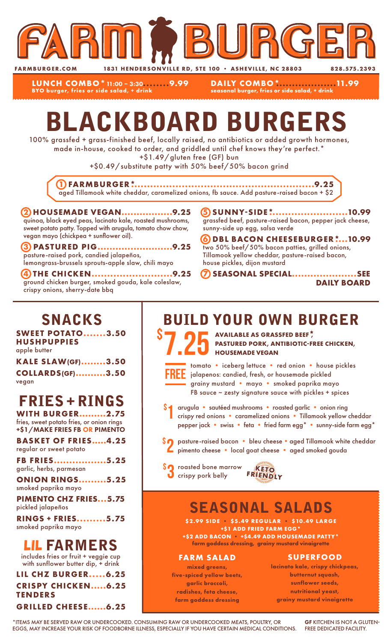

**LUNCH COMBO\***11:00 – 3:30**........9.99 BYO burger, fries or side salad, + drink**

**DAILY COMBO\*...................11.99 seasonal burger, fries or side salad, + drink**

# BLACKBOARD BURGERS

100% grassfed + grass-finished beef, locally raised, no antibiotics or added growth hormones, made in-house, cooked to order, and griddled until chef knows they're perfect.\*

+\$1.49/gluten free (GF) bun

+\$0.49/substitute patty with 50% beef/50% bacon grind

**1 FARMBURGER\*..........................................................9.25** aged Tillamook white cheddar, caramelized onions, fb sauce. Add pasture-raised bacon + \$2

#### **2 HOUSEMADE VEGAN.................9.25** quinoa, black eyed peas, lacinato kale, roasted mushrooms, sweet potato patty. Topped with arugula, tomato chow chow, vegan mayo (chickpea + sunflower oil).

**3 PASTURED PIG.........................9.25** pasture-raised pork, candied jalapeños, lemongrass-brussels sprouts-apple slaw, chili mayo

**4 THE CHICKEN..........................9.25** ground chicken burger, smoked gouda, kale coleslaw, crispy onions, sherry-date bbq

**5 SUNNY-SIDE\*.........................10.99** grassfed beef, pasture-raised bacon, pepper jack cheese, sunny-side up egg, salsa verde

**6 DBL BACON CHEESEBURGER\*....10.99** two 50% beef/50% bacon patties, grilled onions, Tillamook yellow cheddar, pasture-raised bacon, house pickles, dijon mustard

**7 SEASONAL SPECIAL.....................SEE DAILY BOARD**

### SNACKS

**SWEET POTATO.......3.50 HUSHPUPPIES** apple butter

| <b>KALE SLAW(GF)3.50</b> |  |
|--------------------------|--|
| <b>COLLARDS(GF)3.50</b>  |  |
| vegan                    |  |

## FRIES + RINGS

**WITH BURGER.........2.75** fries, sweet potato fries, or onion rings +\$1/MAKE FRIES FB OR PIMENTO

**BASKET OF FRIES.....4.25** regular or sweet potato

**FB FRIES.................5.25** garlic, herbs, parmesan

**ONION RINGS.........5.25** smoked paprika mayo

**PIMENTO CHZ FRIES...5.75** pickled jalapeños

**RINGS + FRIES.........5.75** smoked paprika mayo

### LIL FARMERS

includes fries or fruit + veggie cup with sunflower butter dip, + drink

**LIL CHZ BURGER.....6.25 CRISPY CHICKEN.....6.25 TENDERS GRILLED CHEESE......6.25**

## BUILD YOUR OWN BURGER

S 7.25 AVAILABLE AS GRASSFED BEEF<sup>\*</sup>, PASTURED PORK, ANTIBIOTIC-FI **PASTURED PORK, ANTIBIOTIC-FREE CHICKEN, HOUSEMADE VEGAN**



\$

tomato • iceberg lettuce • red onion • house pickles jalapenos: candied, fresh, or housemade pickled grainy mustard • mayo • smoked paprika mayo FB sauce  $\sim$  zesty signature sauce with pickles + spices

- arugula sautéed mushrooms roasted garlic onion ring crispy red onions • caramelized onions • Tillamook yellow cheddar pepper jack • swiss • feta • fried farm egg\* • sunny-side farm egg\* 1
- \$2 pasture-raised bacon bleu cheese aged Tillamook white cheddar<br>Pimento cheese local goat cheese aged smoked gouda pimento cheese • local goat cheese • aged smoked gouda
- **SO** roasted bone marrow **KETO**<br> **O** crispy pork belly FRIENDLY



## SEASONAL SALADS

**\$2.99 SIDE • \$5.49 REGULAR • \$10.49 LARGE +\$1 ADD FRIED FARM EGG\* +\$2 ADD BACON • +\$4.49 ADD HOUSEMADE PATTY\***

**farm goddess dressing, grainy mustard vinaigrette**

#### **FARM SALAD**

**mixed greens, five-spiced yellow beets, garlic broccoli, radishes, feta cheese, farm goddess dressing**

#### **SUPERFOOD**

**lacinato kale, crispy chickpeas, butternut squash, sunflower seeds, nutritional yeast, grainy mustard vinaigrette**

\*ITEMS MAY BE SERVED RAW OR UNDERCOOKED. CONSUMING RAW OR UNDERCOOKED MEATS, POULTRY, OR EGGS, MAY INCREASE YOUR RISK OF FOODBORNE ILLNESS, ESPECIALLY IF YOU HAVE CERTAIN MEDICAL CONDITIONS.

GF KITCHEN IS NOT A GLUTEN-FREE DEDICATED FACILITY.